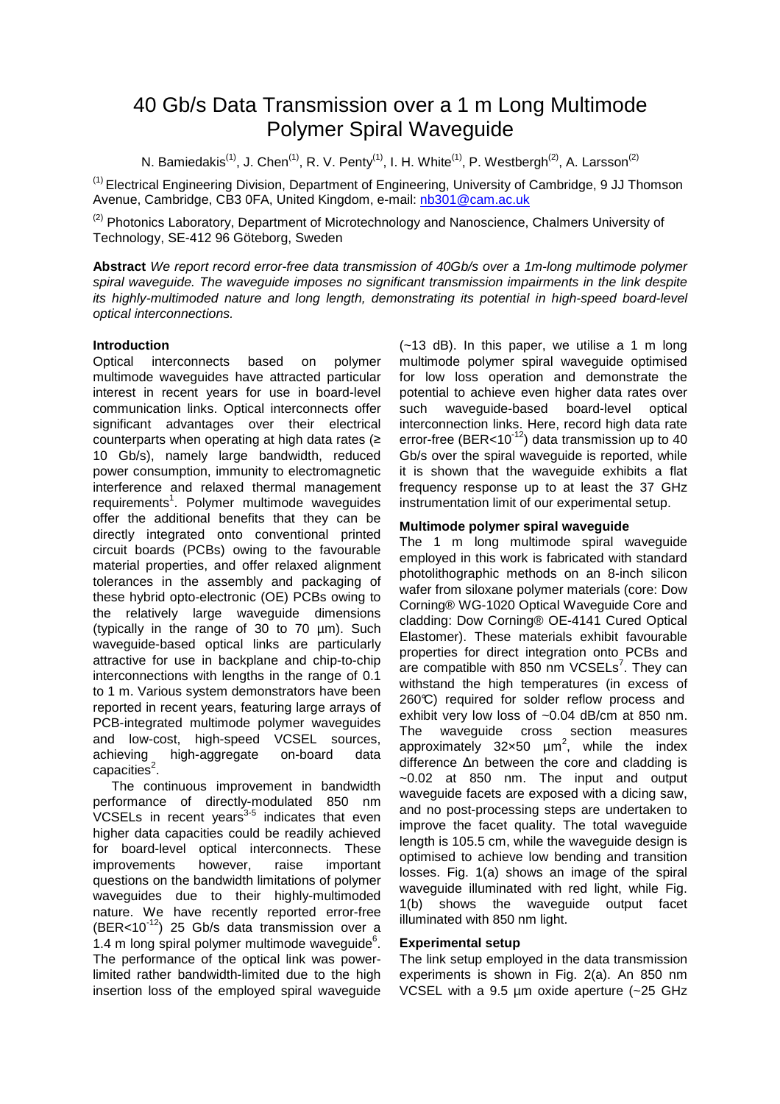# 40 Gb/s Data Transmission over a 1 m Long Multimode Polymer Spiral Waveguide

N. Bamiedakis<sup>(1)</sup>, J. Chen<sup>(1)</sup>, R. V. Penty<sup>(1)</sup>, I. H. White<sup>(1)</sup>, P. Westbergh<sup>(2)</sup>, A. Larsson<sup>(2)</sup>

(1) Electrical Engineering Division, Department of Engineering, University of Cambridge, 9 JJ Thomson Avenue, Cambridge, CB3 0FA, United Kingdom, e-mail: nb301@cam.ac.uk

<sup>(2)</sup> Photonics Laboratory, Department of Microtechnology and Nanoscience, Chalmers University of Technology, SE-412 96 Göteborg, Sweden

**Abstract** We report record error-free data transmission of 40Gb/s over a 1m-long multimode polymer spiral waveguide. The waveguide imposes no significant transmission impairments in the link despite its highly-multimoded nature and long length, demonstrating its potential in high-speed board-level optical interconnections.

## **Introduction**

Optical interconnects based on polymer multimode waveguides have attracted particular interest in recent years for use in board-level communication links. Optical interconnects offer significant advantages over their electrical counterparts when operating at high data rates (≥ 10 Gb/s), namely large bandwidth, reduced power consumption, immunity to electromagnetic interference and relaxed thermal management requirements<sup>1</sup>. Polymer multimode waveguides offer the additional benefits that they can be directly integrated onto conventional printed circuit boards (PCBs) owing to the favourable material properties, and offer relaxed alignment tolerances in the assembly and packaging of these hybrid opto-electronic (OE) PCBs owing to the relatively large waveguide dimensions (typically in the range of 30 to 70 µm). Such waveguide-based optical links are particularly attractive for use in backplane and chip-to-chip interconnections with lengths in the range of 0.1 to 1 m. Various system demonstrators have been reported in recent years, featuring large arrays of PCB-integrated multimode polymer waveguides and low-cost, high-speed VCSEL sources, achieving high-aggregate on-board data capacities<sup>2</sup>.

The continuous improvement in bandwidth performance of directly-modulated 850 nm VCSELs in recent years<sup>3-5</sup> indicates that even higher data capacities could be readily achieved for board-level optical interconnects. These improvements however, raise important questions on the bandwidth limitations of polymer waveguides due to their highly-multimoded nature. We have recently reported error-free (BER<10 $12$ ) 25 Gb/s data transmission over a  $1.4$  m long spiral polymer multimode waveguide $6.$ The performance of the optical link was powerlimited rather bandwidth-limited due to the high insertion loss of the employed spiral waveguide

(~13 dB). In this paper, we utilise a 1 m long multimode polymer spiral waveguide optimised for low loss operation and demonstrate the potential to achieve even higher data rates over such waveguide-based board-level optical interconnection links. Here, record high data rate error-free (BER<10 $12$ ) data transmission up to 40 Gb/s over the spiral wavequide is reported, while it is shown that the waveguide exhibits a flat frequency response up to at least the 37 GHz instrumentation limit of our experimental setup.

## **Multimode polymer spiral waveguide**

The 1 m long multimode spiral waveguide employed in this work is fabricated with standard photolithographic methods on an 8-inch silicon wafer from siloxane polymer materials (core: Dow Corning® WG-1020 Optical Waveguide Core and cladding: Dow Corning® OE-4141 Cured Optical Elastomer). These materials exhibit favourable properties for direct integration onto PCBs and are compatible with 850 nm  $VCSELs<sup>7</sup>$ . They can withstand the high temperatures (in excess of 260°C) required for solder reflow process and exhibit very low loss of ~0.04 dB/cm at 850 nm. The waveguide cross section measures approximately  $32 \times 50$   $\mu$ m<sup>2</sup>, while the index difference ∆n between the core and cladding is ~0.02 at 850 nm. The input and output waveguide facets are exposed with a dicing saw, and no post-processing steps are undertaken to improve the facet quality. The total waveguide length is 105.5 cm, while the waveguide design is optimised to achieve low bending and transition losses. Fig. 1(a) shows an image of the spiral waveguide illuminated with red light, while Fig. 1(b) shows the waveguide output facet illuminated with 850 nm light.

## **Experimental setup**

The link setup employed in the data transmission experiments is shown in Fig. 2(a). An 850 nm VCSEL with a 9.5 um oxide aperture (~25 GHz)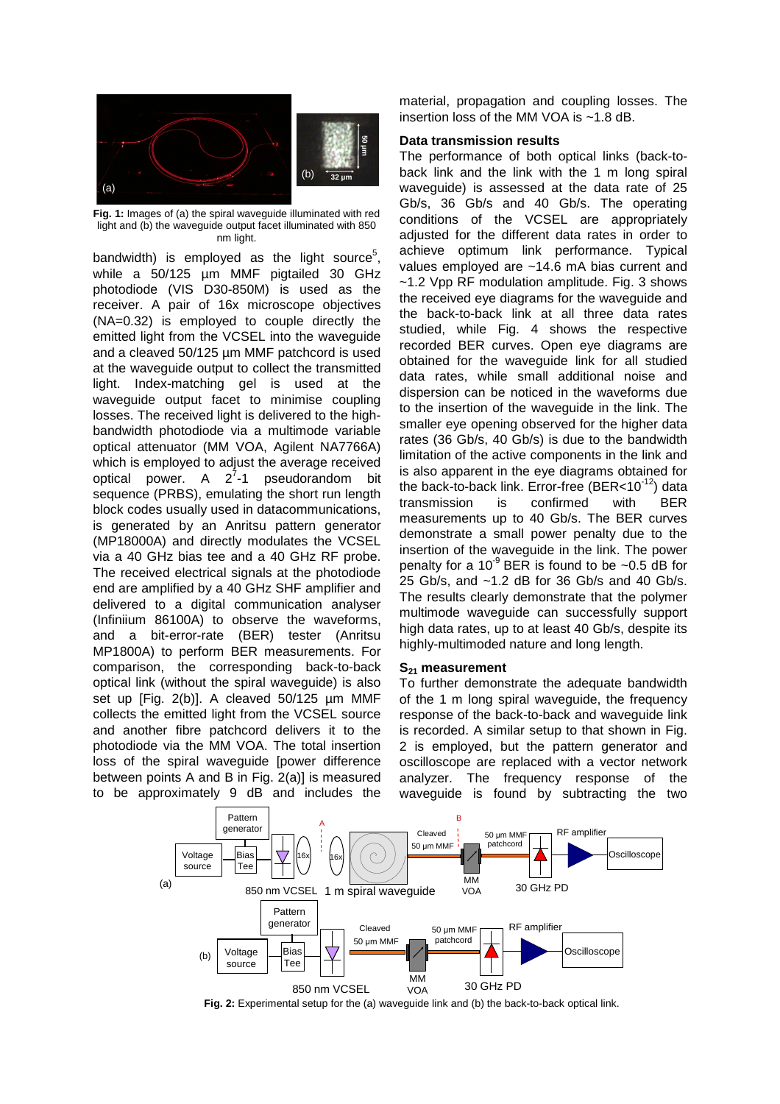

**Fig. 1:** Images of (a) the spiral waveguide illuminated with red light and (b) the waveguide output facet illuminated with 850 nm light.

bandwidth) is employed as the light source<sup>5</sup>, while a 50/125 µm MMF pigtailed 30 GHz photodiode (VIS D30-850M) is used as the receiver. A pair of 16x microscope objectives (NA=0.32) is employed to couple directly the emitted light from the VCSEL into the waveguide and a cleaved 50/125 µm MMF patchcord is used at the waveguide output to collect the transmitted light. Index-matching gel is used at the waveguide output facet to minimise coupling losses. The received light is delivered to the highbandwidth photodiode via a multimode variable optical attenuator (MM VOA, Agilent NA7766A) which is employed to adjust the average received optical power. A  $2^7$ -1 pseudorandom bit sequence (PRBS), emulating the short run length block codes usually used in datacommunications, is generated by an Anritsu pattern generator (MP18000A) and directly modulates the VCSEL via a 40 GHz bias tee and a 40 GHz RF probe. The received electrical signals at the photodiode end are amplified by a 40 GHz SHF amplifier and delivered to a digital communication analyser (Infiniium 86100A) to observe the waveforms, and a bit-error-rate (BER) tester (Anritsu MP1800A) to perform BER measurements. For comparison, the corresponding back-to-back optical link (without the spiral waveguide) is also set up [Fig. 2(b)]. A cleaved 50/125 um MMF collects the emitted light from the VCSEL source and another fibre patchcord delivers it to the photodiode via the MM VOA. The total insertion loss of the spiral waveguide [power difference between points A and B in Fig. 2(a)] is measured to be approximately 9 dB and includes the

material, propagation and coupling losses. The insertion loss of the MM VOA is ~1.8 dB.

## **Data transmission results**

The performance of both optical links (back-toback link and the link with the 1 m long spiral waveguide) is assessed at the data rate of 25 Gb/s, 36 Gb/s and 40 Gb/s. The operating conditions of the VCSEL are appropriately adjusted for the different data rates in order to achieve optimum link performance. Typical values employed are ~14.6 mA bias current and ~1.2 Vpp RF modulation amplitude. Fig. 3 shows the received eye diagrams for the waveguide and the back-to-back link at all three data rates studied, while Fig. 4 shows the respective recorded BER curves. Open eye diagrams are obtained for the waveguide link for all studied data rates, while small additional noise and dispersion can be noticed in the waveforms due to the insertion of the waveguide in the link. The smaller eye opening observed for the higher data rates (36 Gb/s, 40 Gb/s) is due to the bandwidth limitation of the active components in the link and is also apparent in the eye diagrams obtained for the back-to-back link. Error-free  $(BER<10^{-12})$  data transmission is confirmed with BER measurements up to 40 Gb/s. The BER curves demonstrate a small power penalty due to the insertion of the waveguide in the link. The power penalty for a 10<sup>-9</sup> BER is found to be  $\sim$ 0.5 dB for 25 Gb/s, and ~1.2 dB for 36 Gb/s and 40 Gb/s. The results clearly demonstrate that the polymer multimode waveguide can successfully support high data rates, up to at least 40 Gb/s, despite its highly-multimoded nature and long length.

#### **S21 measurement**

To further demonstrate the adequate bandwidth of the 1 m long spiral waveguide, the frequency response of the back-to-back and waveguide link is recorded. A similar setup to that shown in Fig. 2 is employed, but the pattern generator and oscilloscope are replaced with a vector network analyzer. The frequency response of the waveguide is found by subtracting the two



**Fig. 2:** Experimental setup for the (a) waveguide link and (b) the back-to-back optical link.